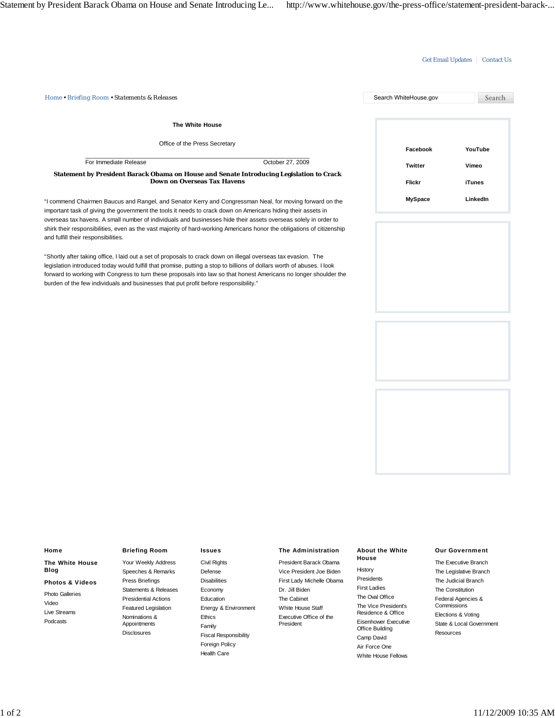## Get Email Updates | Contact Us

| Home . Briefing Room . Statements & Releases                                                                                                                                                                                             |                  | Search WhiteHouse.gov | Search   |
|------------------------------------------------------------------------------------------------------------------------------------------------------------------------------------------------------------------------------------------|------------------|-----------------------|----------|
| The White House                                                                                                                                                                                                                          |                  |                       |          |
| Office of the Press Secretary                                                                                                                                                                                                            |                  | Facebook              | YouTube  |
| For Immediate Release                                                                                                                                                                                                                    | October 27, 2009 | Twitter               | Vimeo    |
| Statement by President Barack Obama on House and Senate Introducing Legislation to Crack<br><b>Down on Overseas Tax Havens</b>                                                                                                           |                  | Flickr                | iTunes   |
| "I commend Chairmen Baucus and Rangel, and Senator Kerry and Congressman Neal, for moving forward on the<br>important task of giving the government the tools it needs to crack down on Americans hiding their assets in                 |                  | <b>MySpace</b>        | LinkedIn |
| overseas tax havens. A small number of individuals and businesses hide their assets overseas solely in order to                                                                                                                          |                  |                       |          |
| shirk their responsibilities, even as the vast majority of hard-working Americans honor the obligations of citizenship<br>and fulfill their responsibilities.                                                                            |                  |                       |          |
| "Shortly after taking office, I laid out a set of proposals to crack down on illegal overseas tax evasion. The<br>legislation introduced today would fulfill that promise, putting a stop to billions of dollars worth of abuses. I look |                  |                       |          |
| forward to working with Congress to turn these proposals into law so that honest Americans no longer shoulder the                                                                                                                        |                  |                       |          |

burden of the few individuals and businesses that put profit before responsibility."

**Home The White House Blog Photos & Videos** Photo Galleries Video Live Streams Podcasts

# **Briefing Room**

Your Weekly Address Speeches & Remarks Press Briefings Statements & Releases Presidential Actions Featured Legislation Nominations & Appointments Disclosures

#### **Issues**

Civil Rights Defense Disabilities Economy Education Energy & Environment Ethics Family Fiscal Responsibility Foreign Policy Health Care

### **The Administration**

President Barack Obama Vice President Joe Biden First Lady Michelle Obama Dr. Jill Biden The Cabinet White House Staff Executive Office of the President

#### **About the White House**

History Presidents First Ladies The Oval Office The Vice President's Residence & Office Eisenhower Executive Office Building Camp David Air Force One White House Fellows

### **Our Government**

The Executive Branch The Legislative Branch The Judicial Branch The Constitution Federal Agencies & **Commissions** Elections & Voting State & Local Government Resources